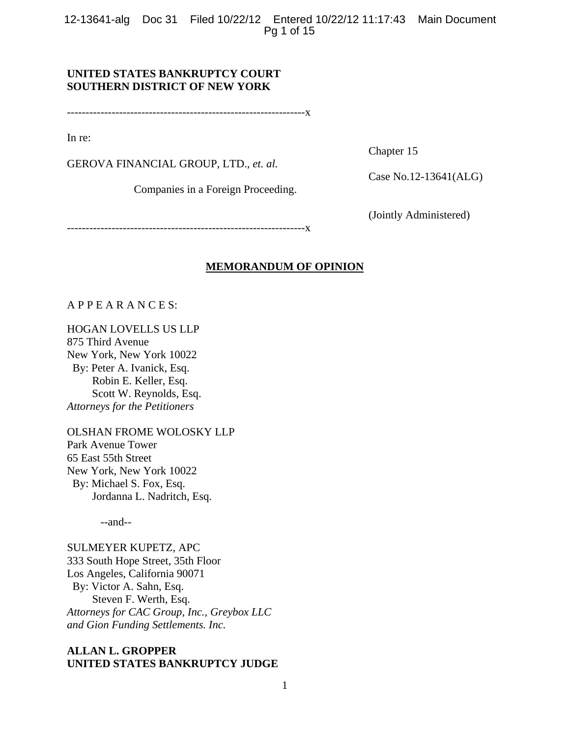12-13641-alg Doc 31 Filed 10/22/12 Entered 10/22/12 11:17:43 Main Document Pg 1 of 15

## **UNITED STATES BANKRUPTCY COURT SOUTHERN DISTRICT OF NEW YORK**

----------------------------------------------------------------x

In re:

GEROVA FINANCIAL GROUP, LTD., *et. al.*

Companies in a Foreign Proceeding.

Chapter 15

Case No.12-13641(ALG)

(Jointly Administered)

----------------------------------------------------------------x

#### **MEMORANDUM OF OPINION**

A P P E A R A N C E S:

HOGAN LOVELLS US LLP

875 Third Avenue New York, New York 10022 By: Peter A. Ivanick, Esq. Robin E. Keller, Esq. Scott W. Reynolds, Esq. *Attorneys for the Petitioners* 

OLSHAN FROME WOLOSKY LLP Park Avenue Tower 65 East 55th Street New York, New York 10022 By: Michael S. Fox, Esq. Jordanna L. Nadritch, Esq.

--and--

SULMEYER KUPETZ, APC 333 South Hope Street, 35th Floor Los Angeles, California 90071 By: Victor A. Sahn, Esq. Steven F. Werth, Esq. *Attorneys for CAC Group, Inc., Greybox LLC and Gion Funding Settlements. Inc.*

## **ALLAN L. GROPPER UNITED STATES BANKRUPTCY JUDGE**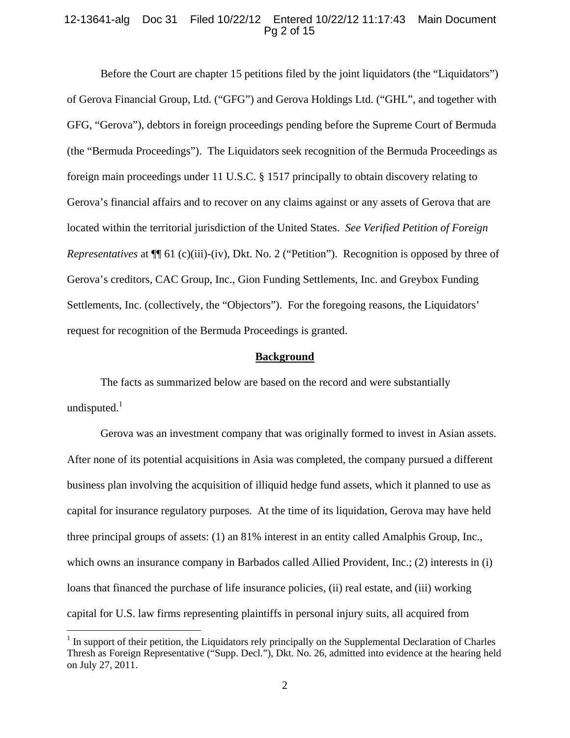## 12-13641-alg Doc 31 Filed 10/22/12 Entered 10/22/12 11:17:43 Main Document Pg 2 of 15

Before the Court are chapter 15 petitions filed by the joint liquidators (the "Liquidators") of Gerova Financial Group, Ltd. ("GFG") and Gerova Holdings Ltd. ("GHL", and together with GFG, "Gerova"), debtors in foreign proceedings pending before the Supreme Court of Bermuda (the "Bermuda Proceedings"). The Liquidators seek recognition of the Bermuda Proceedings as foreign main proceedings under 11 U.S.C. § 1517 principally to obtain discovery relating to Gerova's financial affairs and to recover on any claims against or any assets of Gerova that are located within the territorial jurisdiction of the United States. *See Verified Petition of Foreign Representatives* at  $\P$ [ 61 (c)(iii)-(iv), Dkt. No. 2 ("Petition"). Recognition is opposed by three of Gerova's creditors, CAC Group, Inc., Gion Funding Settlements, Inc. and Greybox Funding Settlements, Inc. (collectively, the "Objectors"). For the foregoing reasons, the Liquidators' request for recognition of the Bermuda Proceedings is granted.

#### **Background**

The facts as summarized below are based on the record and were substantially undisputed. $1$ 

Gerova was an investment company that was originally formed to invest in Asian assets. After none of its potential acquisitions in Asia was completed, the company pursued a different business plan involving the acquisition of illiquid hedge fund assets, which it planned to use as capital for insurance regulatory purposes. At the time of its liquidation, Gerova may have held three principal groups of assets: (1) an 81% interest in an entity called Amalphis Group, Inc., which owns an insurance company in Barbados called Allied Provident, Inc.; (2) interests in (i) loans that financed the purchase of life insurance policies, (ii) real estate, and (iii) working capital for U.S. law firms representing plaintiffs in personal injury suits, all acquired from

 $<sup>1</sup>$  In support of their petition, the Liquidators rely principally on the Supplemental Declaration of Charles</sup> Thresh as Foreign Representative ("Supp. Decl."), Dkt. No. 26, admitted into evidence at the hearing held on July 27, 2011.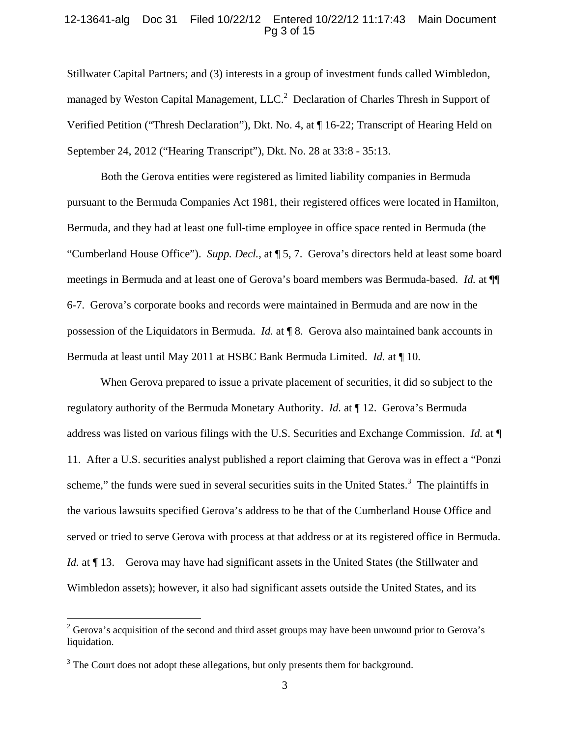### 12-13641-alg Doc 31 Filed 10/22/12 Entered 10/22/12 11:17:43 Main Document Pg 3 of 15

Stillwater Capital Partners; and (3) interests in a group of investment funds called Wimbledon, managed by Weston Capital Management,  $LLC<sup>2</sup>$  Declaration of Charles Thresh in Support of Verified Petition ("Thresh Declaration"), Dkt. No. 4, at ¶ 16-22; Transcript of Hearing Held on September 24, 2012 ("Hearing Transcript"), Dkt. No. 28 at 33:8 - 35:13.

Both the Gerova entities were registered as limited liability companies in Bermuda pursuant to the Bermuda Companies Act 1981, their registered offices were located in Hamilton, Bermuda, and they had at least one full-time employee in office space rented in Bermuda (the "Cumberland House Office"). *Supp. Decl.*, at ¶ 5, 7. Gerova's directors held at least some board meetings in Bermuda and at least one of Gerova's board members was Bermuda-based. *Id.* at ¶¶ 6-7. Gerova's corporate books and records were maintained in Bermuda and are now in the possession of the Liquidators in Bermuda. *Id.* at ¶ 8. Gerova also maintained bank accounts in Bermuda at least until May 2011 at HSBC Bank Bermuda Limited. *Id.* at ¶ 10.

When Gerova prepared to issue a private placement of securities, it did so subject to the regulatory authority of the Bermuda Monetary Authority. *Id.* at ¶ 12. Gerova's Bermuda address was listed on various filings with the U.S. Securities and Exchange Commission. *Id.* at ¶ 11. After a U.S. securities analyst published a report claiming that Gerova was in effect a "Ponzi scheme," the funds were sued in several securities suits in the United States. $3$  The plaintiffs in the various lawsuits specified Gerova's address to be that of the Cumberland House Office and served or tried to serve Gerova with process at that address or at its registered office in Bermuda. *Id.* at  $\P$  13. Gerova may have had significant assets in the United States (the Stillwater and Wimbledon assets); however, it also had significant assets outside the United States, and its

 $2^2$  Gerova's acquisition of the second and third asset groups may have been unwound prior to Gerova's liquidation.

 $3$  The Court does not adopt these allegations, but only presents them for background.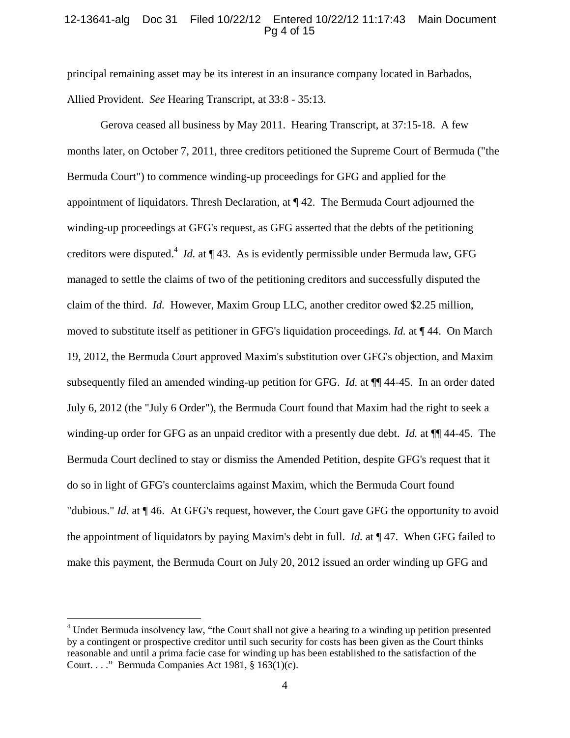## 12-13641-alg Doc 31 Filed 10/22/12 Entered 10/22/12 11:17:43 Main Document Pg 4 of 15

principal remaining asset may be its interest in an insurance company located in Barbados, Allied Provident. *See* Hearing Transcript, at 33:8 - 35:13.

Gerova ceased all business by May 2011. Hearing Transcript, at 37:15-18. A few months later, on October 7, 2011, three creditors petitioned the Supreme Court of Bermuda ("the Bermuda Court") to commence winding-up proceedings for GFG and applied for the appointment of liquidators. Thresh Declaration, at  $\P$  42. The Bermuda Court adjourned the winding-up proceedings at GFG's request, as GFG asserted that the debts of the petitioning creditors were disputed.<sup>4</sup> *Id.* at ¶ 43. As is evidently permissible under Bermuda law, GFG managed to settle the claims of two of the petitioning creditors and successfully disputed the claim of the third. *Id.* However, Maxim Group LLC, another creditor owed \$2.25 million, moved to substitute itself as petitioner in GFG's liquidation proceedings. *Id.* at ¶ 44. On March 19, 2012, the Bermuda Court approved Maxim's substitution over GFG's objection, and Maxim subsequently filed an amended winding-up petition for GFG. *Id.* at ¶¶ 44-45. In an order dated July 6, 2012 (the "July 6 Order"), the Bermuda Court found that Maxim had the right to seek a winding-up order for GFG as an unpaid creditor with a presently due debt. *Id.* at ¶¶ 44-45. The Bermuda Court declined to stay or dismiss the Amended Petition, despite GFG's request that it do so in light of GFG's counterclaims against Maxim, which the Bermuda Court found "dubious." *Id.* at ¶ 46. At GFG's request, however, the Court gave GFG the opportunity to avoid the appointment of liquidators by paying Maxim's debt in full. *Id.* at ¶ 47. When GFG failed to make this payment, the Bermuda Court on July 20, 2012 issued an order winding up GFG and

<u>.</u>

<sup>&</sup>lt;sup>4</sup> Under Bermuda insolvency law, "the Court shall not give a hearing to a winding up petition presented by a contingent or prospective creditor until such security for costs has been given as the Court thinks reasonable and until a prima facie case for winding up has been established to the satisfaction of the Court. . . ." Bermuda Companies Act 1981,  $\S$  163(1)(c).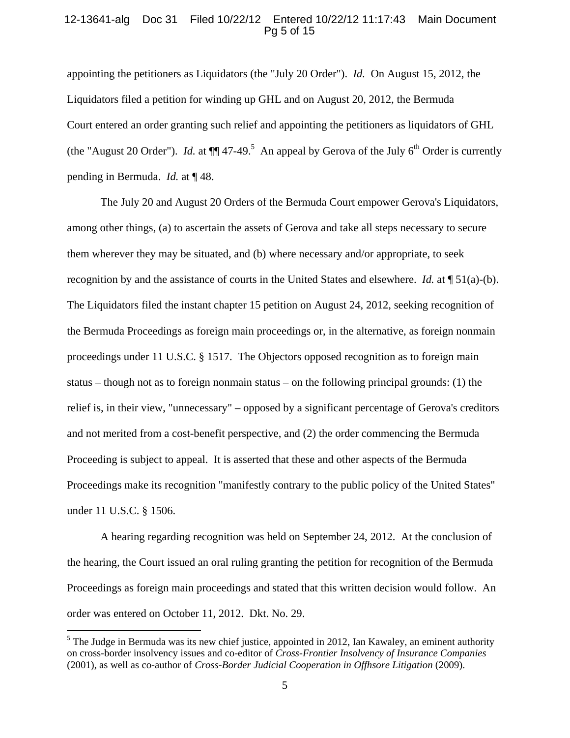### 12-13641-alg Doc 31 Filed 10/22/12 Entered 10/22/12 11:17:43 Main Document Pg 5 of 15

appointing the petitioners as Liquidators (the "July 20 Order"). *Id.* On August 15, 2012, the Liquidators filed a petition for winding up GHL and on August 20, 2012, the Bermuda Court entered an order granting such relief and appointing the petitioners as liquidators of GHL (the "August 20 Order"). *Id.* at  $\P$  47-49.<sup>5</sup> An appeal by Gerova of the July 6<sup>th</sup> Order is currently pending in Bermuda. *Id.* at ¶ 48.

The July 20 and August 20 Orders of the Bermuda Court empower Gerova's Liquidators, among other things, (a) to ascertain the assets of Gerova and take all steps necessary to secure them wherever they may be situated, and (b) where necessary and/or appropriate, to seek recognition by and the assistance of courts in the United States and elsewhere. *Id.* at ¶ 51(a)-(b). The Liquidators filed the instant chapter 15 petition on August 24, 2012, seeking recognition of the Bermuda Proceedings as foreign main proceedings or, in the alternative, as foreign nonmain proceedings under 11 U.S.C. § 1517. The Objectors opposed recognition as to foreign main status – though not as to foreign nonmain status – on the following principal grounds: (1) the relief is, in their view, "unnecessary" – opposed by a significant percentage of Gerova's creditors and not merited from a cost-benefit perspective, and (2) the order commencing the Bermuda Proceeding is subject to appeal. It is asserted that these and other aspects of the Bermuda Proceedings make its recognition "manifestly contrary to the public policy of the United States" under 11 U.S.C. § 1506.

A hearing regarding recognition was held on September 24, 2012. At the conclusion of the hearing, the Court issued an oral ruling granting the petition for recognition of the Bermuda Proceedings as foreign main proceedings and stated that this written decision would follow. An order was entered on October 11, 2012. Dkt. No. 29.

 $<sup>5</sup>$  The Judge in Bermuda was its new chief justice, appointed in 2012, Ian Kawaley, an eminent authority</sup> on cross-border insolvency issues and co-editor of *Cross-Frontier Insolvency of Insurance Companies* (2001), as well as co-author of *Cross-Border Judicial Cooperation in Offhsore Litigation* (2009).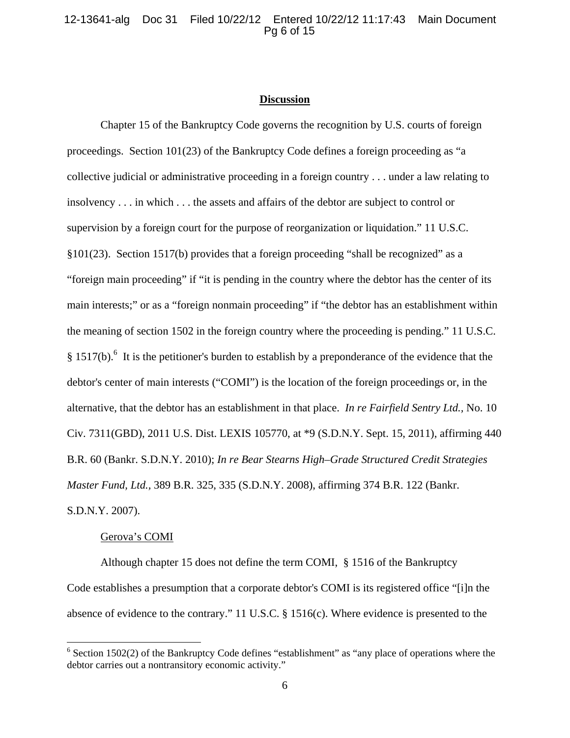## 12-13641-alg Doc 31 Filed 10/22/12 Entered 10/22/12 11:17:43 Main Document Pg 6 of 15

#### **Discussion**

Chapter 15 of the Bankruptcy Code governs the recognition by U.S. courts of foreign proceedings. Section 101(23) of the Bankruptcy Code defines a foreign proceeding as "a collective judicial or administrative proceeding in a foreign country . . . under a law relating to insolvency . . . in which . . . the assets and affairs of the debtor are subject to control or supervision by a foreign court for the purpose of reorganization or liquidation." 11 U.S.C. §101(23). Section 1517(b) provides that a foreign proceeding "shall be recognized" as a "foreign main proceeding" if "it is pending in the country where the debtor has the center of its main interests;" or as a "foreign nonmain proceeding" if "the debtor has an establishment within the meaning of section 1502 in the foreign country where the proceeding is pending." 11 U.S.C.  $§$  1517(b).<sup>6</sup> It is the petitioner's burden to establish by a preponderance of the evidence that the debtor's center of main interests ("COMI") is the location of the foreign proceedings or, in the alternative, that the debtor has an establishment in that place. *In re Fairfield Sentry Ltd.,* No. 10 Civ. 7311(GBD), 2011 U.S. Dist. LEXIS 105770, at \*9 (S.D.N.Y. Sept. 15, 2011), affirming 440 B.R. 60 (Bankr. S.D.N.Y. 2010); *In re Bear Stearns High–Grade Structured Credit Strategies Master Fund, Ltd.,* 389 B.R. 325, 335 (S.D.N.Y. 2008), affirming 374 B.R. 122 (Bankr. S.D.N.Y. 2007).

#### Gerova's COMI

 $\overline{a}$ 

Although chapter 15 does not define the term COMI, § 1516 of the Bankruptcy Code establishes a presumption that a corporate debtor's COMI is its registered office "[i]n the absence of evidence to the contrary." 11 U.S.C. § 1516(c). Where evidence is presented to the

 $6$  Section 1502(2) of the Bankruptcy Code defines "establishment" as "any place of operations where the debtor carries out a nontransitory economic activity."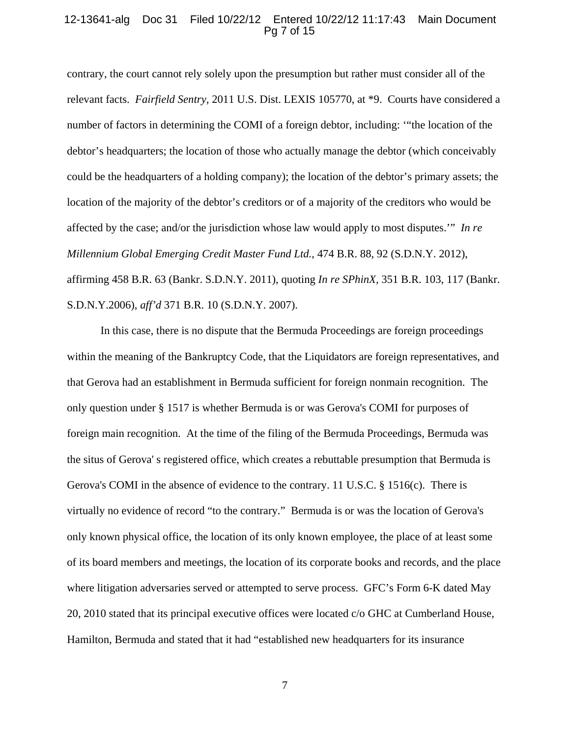#### 12-13641-alg Doc 31 Filed 10/22/12 Entered 10/22/12 11:17:43 Main Document Pg 7 of 15

contrary, the court cannot rely solely upon the presumption but rather must consider all of the relevant facts. *Fairfield Sentry,* 2011 U.S. Dist. LEXIS 105770, at \*9. Courts have considered a number of factors in determining the COMI of a foreign debtor, including: '"the location of the debtor's headquarters; the location of those who actually manage the debtor (which conceivably could be the headquarters of a holding company); the location of the debtor's primary assets; the location of the majority of the debtor's creditors or of a majority of the creditors who would be affected by the case; and/or the jurisdiction whose law would apply to most disputes.'" *In re Millennium Global Emerging Credit Master Fund Ltd.*, 474 B.R. 88, 92 (S.D.N.Y. 2012), affirming 458 B.R. 63 (Bankr. S.D.N.Y. 2011), quoting *In re SPhinX,* 351 B.R. 103, 117 (Bankr. S.D.N.Y.2006), *aff'd* 371 B.R. 10 (S.D.N.Y. 2007).

In this case, there is no dispute that the Bermuda Proceedings are foreign proceedings within the meaning of the Bankruptcy Code, that the Liquidators are foreign representatives, and that Gerova had an establishment in Bermuda sufficient for foreign nonmain recognition. The only question under § 1517 is whether Bermuda is or was Gerova's COMI for purposes of foreign main recognition. At the time of the filing of the Bermuda Proceedings, Bermuda was the situs of Gerova' s registered office, which creates a rebuttable presumption that Bermuda is Gerova's COMI in the absence of evidence to the contrary. 11 U.S.C. § 1516(c). There is virtually no evidence of record "to the contrary." Bermuda is or was the location of Gerova's only known physical office, the location of its only known employee, the place of at least some of its board members and meetings, the location of its corporate books and records, and the place where litigation adversaries served or attempted to serve process. GFC's Form 6-K dated May 20, 2010 stated that its principal executive offices were located c/o GHC at Cumberland House, Hamilton, Bermuda and stated that it had "established new headquarters for its insurance

7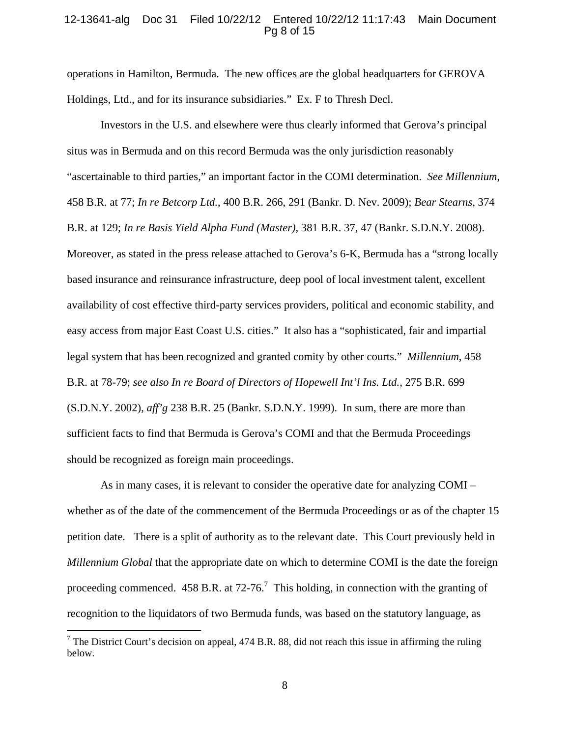#### 12-13641-alg Doc 31 Filed 10/22/12 Entered 10/22/12 11:17:43 Main Document Pg 8 of 15

operations in Hamilton, Bermuda. The new offices are the global headquarters for GEROVA Holdings, Ltd., and for its insurance subsidiaries." Ex. F to Thresh Decl.

Investors in the U.S. and elsewhere were thus clearly informed that Gerova's principal situs was in Bermuda and on this record Bermuda was the only jurisdiction reasonably "ascertainable to third parties," an important factor in the COMI determination. *See Millennium*, 458 B.R. at 77; *In re Betcorp Ltd.*, 400 B.R. 266, 291 (Bankr. D. Nev. 2009); *Bear Stearns*, 374 B.R. at 129; *In re Basis Yield Alpha Fund (Master),* 381 B.R. 37, 47 (Bankr. S.D.N.Y. 2008). Moreover, as stated in the press release attached to Gerova's 6-K, Bermuda has a "strong locally based insurance and reinsurance infrastructure, deep pool of local investment talent, excellent availability of cost effective third-party services providers, political and economic stability, and easy access from major East Coast U.S. cities." It also has a "sophisticated, fair and impartial legal system that has been recognized and granted comity by other courts." *Millennium*, 458 B.R. at 78-79; *see also In re Board of Directors of Hopewell Int'l Ins. Ltd.,* 275 B.R. 699 (S.D.N.Y. 2002), *aff'g* 238 B.R. 25 (Bankr. S.D.N.Y. 1999). In sum, there are more than sufficient facts to find that Bermuda is Gerova's COMI and that the Bermuda Proceedings should be recognized as foreign main proceedings.

As in many cases, it is relevant to consider the operative date for analyzing COMI – whether as of the date of the commencement of the Bermuda Proceedings or as of the chapter 15 petition date.There is a split of authority as to the relevant date. This Court previously held in *Millennium Global* that the appropriate date on which to determine COMI is the date the foreign proceeding commenced. 458 B.R. at 72-76.<sup>7</sup> This holding, in connection with the granting of recognition to the liquidators of two Bermuda funds, was based on the statutory language, as

<sup>&</sup>lt;sup>7</sup> The District Court's decision on appeal, 474 B.R. 88, did not reach this issue in affirming the ruling below.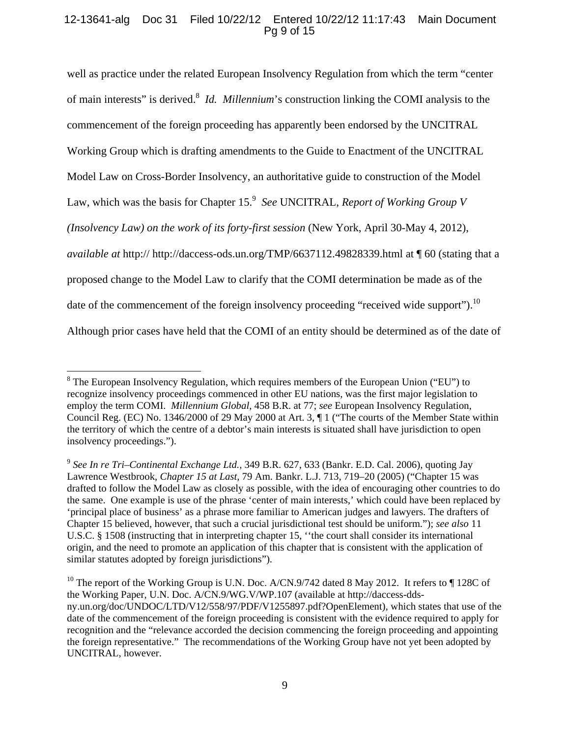# 12-13641-alg Doc 31 Filed 10/22/12 Entered 10/22/12 11:17:43 Main Document Pg 9 of 15

well as practice under the related European Insolvency Regulation from which the term "center of main interests" is derived.<sup>8</sup> *Id. Millennium*'s construction linking the COMI analysis to the commencement of the foreign proceeding has apparently been endorsed by the UNCITRAL Working Group which is drafting amendments to the Guide to Enactment of the UNCITRAL Model Law on Cross-Border Insolvency, an authoritative guide to construction of the Model Law, which was the basis for Chapter 15.<sup>9</sup> See UNCITRAL, *Report of Working Group V (Insolvency Law) on the work of its forty-first session* (New York, April 30-May 4, 2012), *available at* http:// http://daccess-ods.un.org/TMP/6637112.49828339.html at ¶ 60 (stating that a proposed change to the Model Law to clarify that the COMI determination be made as of the date of the commencement of the foreign insolvency proceeding "received wide support").<sup>10</sup> Although prior cases have held that the COMI of an entity should be determined as of the date of

 $8$  The European Insolvency Regulation, which requires members of the European Union ("EU") to recognize insolvency proceedings commenced in other EU nations, was the first major legislation to employ the term COMI. *Millennium Global*, 458 B.R. at 77; *see* European Insolvency Regulation, Council Reg. (EC) No. 1346/2000 of 29 May 2000 at Art. 3, ¶ 1 ("The courts of the Member State within the territory of which the centre of a debtor's main interests is situated shall have jurisdiction to open insolvency proceedings.").

<sup>9</sup> *See In re Tri–Continental Exchange Ltd.,* 349 B.R. 627, 633 (Bankr. E.D. Cal. 2006), quoting Jay Lawrence Westbrook, *Chapter 15 at Last,* 79 Am. Bankr. L.J. 713, 719–20 (2005) ("Chapter 15 was drafted to follow the Model Law as closely as possible, with the idea of encouraging other countries to do the same. One example is use of the phrase 'center of main interests,' which could have been replaced by 'principal place of business' as a phrase more familiar to American judges and lawyers. The drafters of Chapter 15 believed, however, that such a crucial jurisdictional test should be uniform."); *see also* 11 U.S.C. § 1508 (instructing that in interpreting chapter 15, ''the court shall consider its international origin, and the need to promote an application of this chapter that is consistent with the application of similar statutes adopted by foreign jurisdictions").

<sup>&</sup>lt;sup>10</sup> The report of the Working Group is U.N. Doc. A/CN.9/742 dated 8 May 2012. It refers to  $\parallel$  128C of the Working Paper, U.N. Doc. A/CN.9/WG.V/WP.107 (available at http://daccess-ddsny.un.org/doc/UNDOC/LTD/V12/558/97/PDF/V1255897.pdf?OpenElement), which states that use of the date of the commencement of the foreign proceeding is consistent with the evidence required to apply for recognition and the "relevance accorded the decision commencing the foreign proceeding and appointing the foreign representative." The recommendations of the Working Group have not yet been adopted by UNCITRAL, however.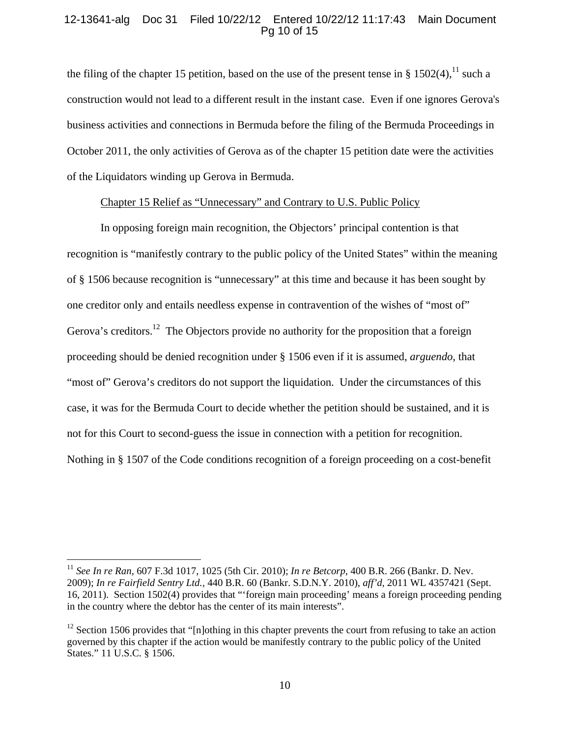## 12-13641-alg Doc 31 Filed 10/22/12 Entered 10/22/12 11:17:43 Main Document Pg 10 of 15

the filing of the chapter 15 petition, based on the use of the present tense in §  $1502(4)$ , <sup>11</sup> such a construction would not lead to a different result in the instant case. Even if one ignores Gerova's business activities and connections in Bermuda before the filing of the Bermuda Proceedings in October 2011, the only activities of Gerova as of the chapter 15 petition date were the activities of the Liquidators winding up Gerova in Bermuda.

## Chapter 15 Relief as "Unnecessary" and Contrary to U.S. Public Policy

 In opposing foreign main recognition, the Objectors' principal contention is that recognition is "manifestly contrary to the public policy of the United States" within the meaning of § 1506 because recognition is "unnecessary" at this time and because it has been sought by one creditor only and entails needless expense in contravention of the wishes of "most of" Gerova's creditors.<sup>12</sup> The Objectors provide no authority for the proposition that a foreign proceeding should be denied recognition under § 1506 even if it is assumed, *arguendo*, that "most of" Gerova's creditors do not support the liquidation. Under the circumstances of this case, it was for the Bermuda Court to decide whether the petition should be sustained, and it is not for this Court to second-guess the issue in connection with a petition for recognition. Nothing in § 1507 of the Code conditions recognition of a foreign proceeding on a cost-benefit

1

<sup>11</sup> *See In re Ran*, 607 F.3d 1017, 1025 (5th Cir. 2010); *In re Betcorp*, 400 B.R. 266 (Bankr. D. Nev. 2009); *In re Fairfield Sentry Ltd.,* 440 B.R. 60 (Bankr. S.D.N.Y. 2010), *aff'd*, 2011 WL 4357421 (Sept. 16, 2011). Section 1502(4) provides that "'foreign main proceeding' means a foreign proceeding pending in the country where the debtor has the center of its main interests".

 $12$  Section 1506 provides that "[n]othing in this chapter prevents the court from refusing to take an action governed by this chapter if the action would be manifestly contrary to the public policy of the United States." 11 U.S.C. § 1506.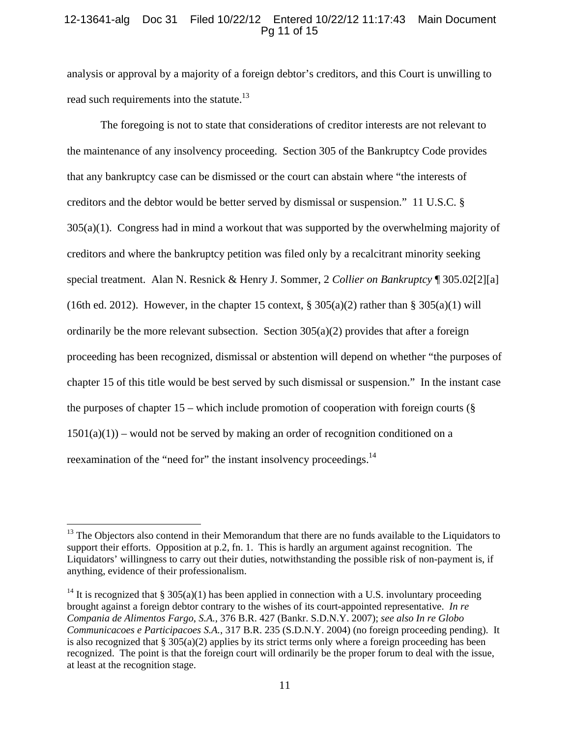## 12-13641-alg Doc 31 Filed 10/22/12 Entered 10/22/12 11:17:43 Main Document Pg 11 of 15

analysis or approval by a majority of a foreign debtor's creditors, and this Court is unwilling to read such requirements into the statute.<sup>13</sup>

 The foregoing is not to state that considerations of creditor interests are not relevant to the maintenance of any insolvency proceeding. Section 305 of the Bankruptcy Code provides that any bankruptcy case can be dismissed or the court can abstain where "the interests of creditors and the debtor would be better served by dismissal or suspension." 11 U.S.C. §  $305(a)(1)$ . Congress had in mind a workout that was supported by the overwhelming majority of creditors and where the bankruptcy petition was filed only by a recalcitrant minority seeking special treatment. Alan N. Resnick & Henry J. Sommer, 2 *Collier on Bankruptcy* ¶ 305.02[2][a] (16th ed. 2012). However, in the chapter 15 context,  $\S 305(a)(2)$  rather than  $\S 305(a)(1)$  will ordinarily be the more relevant subsection. Section  $305(a)(2)$  provides that after a foreign proceeding has been recognized, dismissal or abstention will depend on whether "the purposes of chapter 15 of this title would be best served by such dismissal or suspension." In the instant case the purposes of chapter  $15$  – which include promotion of cooperation with foreign courts ( $\S$ )  $1501(a)(1)$  – would not be served by making an order of recognition conditioned on a reexamination of the "need for" the instant insolvency proceedings.<sup>14</sup>

 $13$  The Objectors also contend in their Memorandum that there are no funds available to the Liquidators to support their efforts. Opposition at p.2, fn. 1. This is hardly an argument against recognition. The Liquidators' willingness to carry out their duties, notwithstanding the possible risk of non-payment is, if anything, evidence of their professionalism.

<sup>&</sup>lt;sup>14</sup> It is recognized that § 305(a)(1) has been applied in connection with a U.S. involuntary proceeding brought against a foreign debtor contrary to the wishes of its court-appointed representative. *In re Compania de Alimentos Fargo*, *S.A.,* 376 B.R. 427 (Bankr. S.D.N.Y. 2007); *see also In re Globo Communicacoes e Participacoes S.A.*, 317 B.R. 235 (S.D.N.Y. 2004) (no foreign proceeding pending). It is also recognized that  $\S 305(a)(2)$  applies by its strict terms only where a foreign proceeding has been recognized. The point is that the foreign court will ordinarily be the proper forum to deal with the issue, at least at the recognition stage.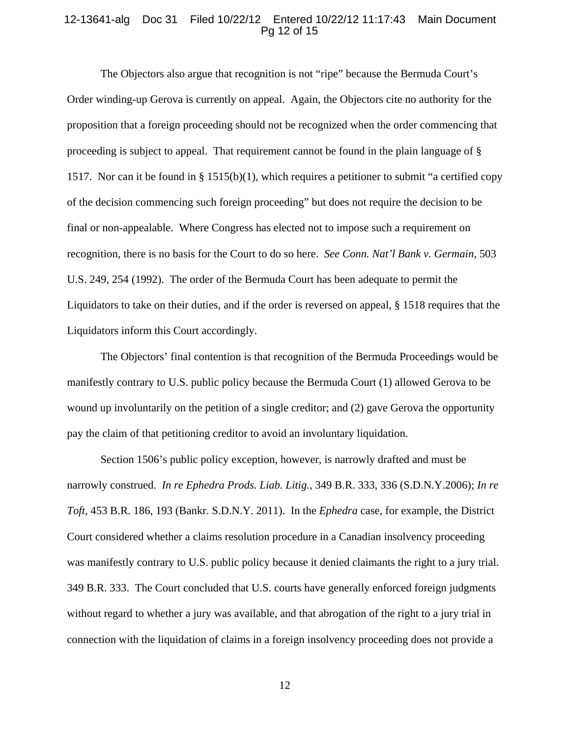#### 12-13641-alg Doc 31 Filed 10/22/12 Entered 10/22/12 11:17:43 Main Document Pg 12 of 15

The Objectors also argue that recognition is not "ripe" because the Bermuda Court's Order winding-up Gerova is currently on appeal. Again, the Objectors cite no authority for the proposition that a foreign proceeding should not be recognized when the order commencing that proceeding is subject to appeal. That requirement cannot be found in the plain language of § 1517. Nor can it be found in § 1515(b)(1), which requires a petitioner to submit "a certified copy of the decision commencing such foreign proceeding" but does not require the decision to be final or non-appealable. Where Congress has elected not to impose such a requirement on recognition, there is no basis for the Court to do so here. *See Conn. Nat'l Bank v. Germain*, 503 U.S. 249, 254 (1992). The order of the Bermuda Court has been adequate to permit the Liquidators to take on their duties, and if the order is reversed on appeal, § 1518 requires that the Liquidators inform this Court accordingly.

The Objectors' final contention is that recognition of the Bermuda Proceedings would be manifestly contrary to U.S. public policy because the Bermuda Court (1) allowed Gerova to be wound up involuntarily on the petition of a single creditor; and (2) gave Gerova the opportunity pay the claim of that petitioning creditor to avoid an involuntary liquidation.

Section 1506's public policy exception, however, is narrowly drafted and must be narrowly construed. *In re Ephedra Prods. Liab. Litig.*, 349 B.R. 333, 336 (S.D.N.Y.2006); *In re Toft,* 453 B.R. 186, 193 (Bankr. S.D.N.Y. 2011). In the *Ephedra* case*,* for example, the District Court considered whether a claims resolution procedure in a Canadian insolvency proceeding was manifestly contrary to U.S. public policy because it denied claimants the right to a jury trial. 349 B.R. 333. The Court concluded that U.S. courts have generally enforced foreign judgments without regard to whether a jury was available, and that abrogation of the right to a jury trial in connection with the liquidation of claims in a foreign insolvency proceeding does not provide a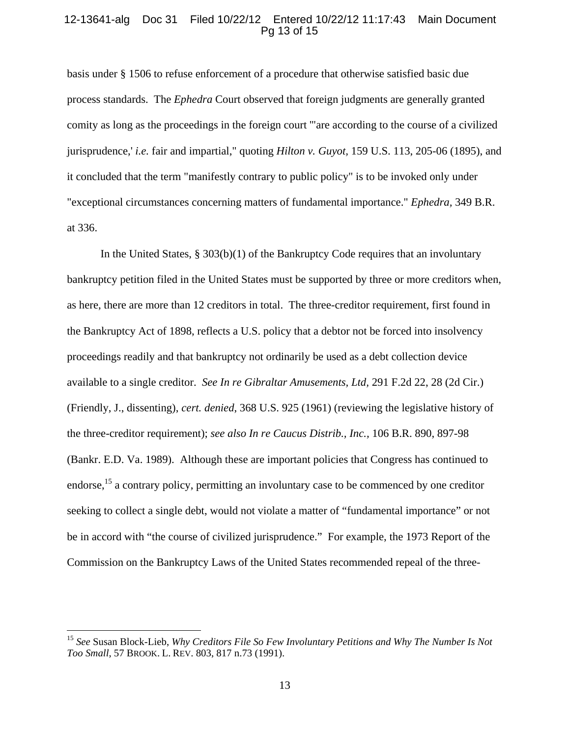## 12-13641-alg Doc 31 Filed 10/22/12 Entered 10/22/12 11:17:43 Main Document Pg 13 of 15

basis under § 1506 to refuse enforcement of a procedure that otherwise satisfied basic due process standards. The *Ephedra* Court observed that foreign judgments are generally granted comity as long as the proceedings in the foreign court '"are according to the course of a civilized jurisprudence,' *i.e.* fair and impartial," quoting *Hilton v. Guyot,* 159 U.S. 113, 205-06 (1895), and it concluded that the term "manifestly contrary to public policy" is to be invoked only under "exceptional circumstances concerning matters of fundamental importance." *Ephedra,* 349 B.R. at 336.

In the United States,  $\S 303(b)(1)$  of the Bankruptcy Code requires that an involuntary bankruptcy petition filed in the United States must be supported by three or more creditors when, as here, there are more than 12 creditors in total. The three-creditor requirement, first found in the Bankruptcy Act of 1898, reflects a U.S. policy that a debtor not be forced into insolvency proceedings readily and that bankruptcy not ordinarily be used as a debt collection device available to a single creditor. *See In re Gibraltar Amusements, Ltd,* 291 F.2d 22, 28 (2d Cir.) (Friendly, J., dissenting), *cert. denied*, 368 U.S. 925 (1961) (reviewing the legislative history of the three-creditor requirement); *see also In re Caucus Distrib., Inc.,* 106 B.R. 890, 897-98 (Bankr. E.D. Va. 1989). Although these are important policies that Congress has continued to endorse,<sup>15</sup> a contrary policy, permitting an involuntary case to be commenced by one creditor seeking to collect a single debt, would not violate a matter of "fundamental importance" or not be in accord with "the course of civilized jurisprudence." For example, the 1973 Report of the Commission on the Bankruptcy Laws of the United States recommended repeal of the three-

<sup>15</sup> *See* Susan Block-Lieb, *Why Creditors File So Few Involuntary Petitions and Why The Number Is Not Too Small*, 57 BROOK. L. REV. 803, 817 n.73 (1991).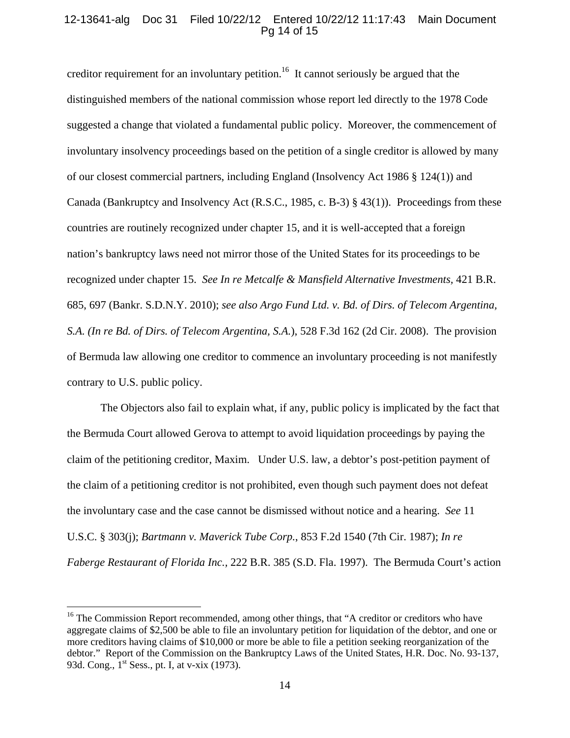## 12-13641-alg Doc 31 Filed 10/22/12 Entered 10/22/12 11:17:43 Main Document Pg 14 of 15

creditor requirement for an involuntary petition.<sup>16</sup> It cannot seriously be argued that the distinguished members of the national commission whose report led directly to the 1978 Code suggested a change that violated a fundamental public policy. Moreover, the commencement of involuntary insolvency proceedings based on the petition of a single creditor is allowed by many of our closest commercial partners, including England (Insolvency Act 1986 § 124(1)) and Canada (Bankruptcy and Insolvency Act (R.S.C., 1985, c. B-3) § 43(1)). Proceedings from these countries are routinely recognized under chapter 15, and it is well-accepted that a foreign nation's bankruptcy laws need not mirror those of the United States for its proceedings to be recognized under chapter 15. *See In re Metcalfe & Mansfield Alternative Investments,* 421 B.R. 685, 697 (Bankr. S.D.N.Y. 2010); *see also Argo Fund Ltd. v. Bd. of Dirs. of Telecom Argentina, S.A. (In re Bd. of Dirs. of Telecom Argentina, S.A.*), 528 F.3d 162 (2d Cir. 2008). The provision of Bermuda law allowing one creditor to commence an involuntary proceeding is not manifestly contrary to U.S. public policy.

The Objectors also fail to explain what, if any, public policy is implicated by the fact that the Bermuda Court allowed Gerova to attempt to avoid liquidation proceedings by paying the claim of the petitioning creditor, Maxim. Under U.S. law, a debtor's post-petition payment of the claim of a petitioning creditor is not prohibited, even though such payment does not defeat the involuntary case and the case cannot be dismissed without notice and a hearing. *See* 11 U.S.C. § 303(j); *Bartmann v. Maverick Tube Corp.*, 853 F.2d 1540 (7th Cir. 1987); *In re Faberge Restaurant of Florida Inc.,* 222 B.R. 385 (S.D. Fla. 1997). The Bermuda Court's action

<u>.</u>

<sup>&</sup>lt;sup>16</sup> The Commission Report recommended, among other things, that "A creditor or creditors who have aggregate claims of \$2,500 be able to file an involuntary petition for liquidation of the debtor, and one or more creditors having claims of \$10,000 or more be able to file a petition seeking reorganization of the debtor." Report of the Commission on the Bankruptcy Laws of the United States, H.R. Doc. No. 93-137, 93d. Cong., 1<sup>st</sup> Sess., pt. I, at v-xix (1973).